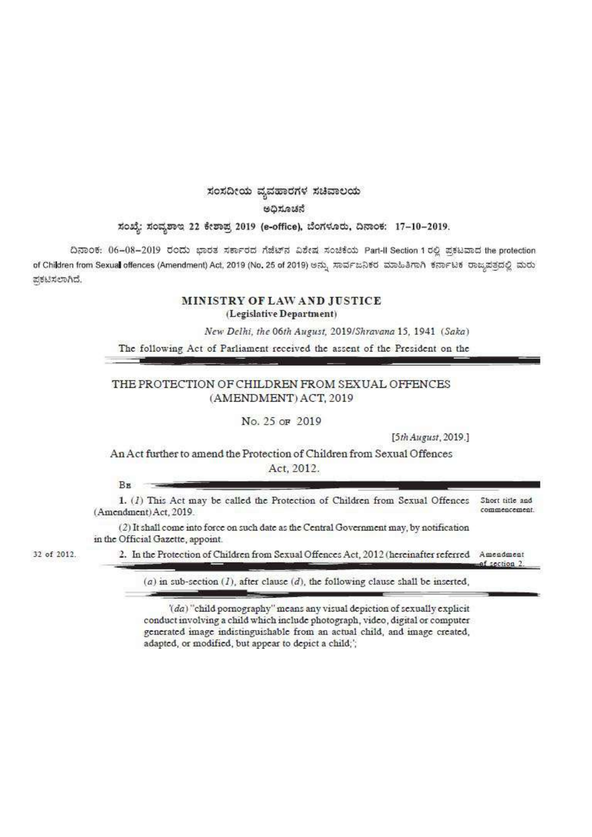## ಸಂಸದೀಯ ವ್ಯವಹಾರಗಳ ಸಚಿವಾಲಯ

ಅಧಿಸೂಚನೆ

#### ಸಂಖ್ಯೆ: ಸಂವೃಶಾಇ 22 ಕೇಶಾಪ್ರ 2019 (e-office), ಬೆಂಗಳೂರು, ದಿನಾಂಕ: 17-10-2019.

ದಿನಾಂಕ: 06-08-2019 ರಂದು ಭಾರತ ಸರ್ಕಾರದ ಗೆಜೆಟ್ ವವೀಷ ಸಂಚಿಕೆಯ Part-Il Section 1 ರಲ್ಲಿ ಪ್ರಕಟವಾದ the protection of Children from Sexual offences (Amendment) Act, 2019 (No. 25 of 2019) ಅನ್ನು ಸಾರ್ವಜನಿಕರ ಮಾಹಿತಿಗಾಗಿ ಕರ್ನಾಟಕ ರಾಜ್ಯಪತ್ರದಲ್ಲಿ ಮರು ಪ್ರಕಟಿಸಲಾಗಿದೆ.

## MINISTRY OF LAW AND JUSTICE (Legislative Department)

New Delhi, the 06th August, 2019/Shravana 15, 1941 (Saka)

The following Act of Parliament received the assent of the President on the

## THE PROTECTION OF CHILDREN FROM SEXUAL OFFENCES (AMENDMENT) ACT, 2019

No. 25 OF 2019

[5th August, 2019.]

An Act further to amend the Protection of Children from Sexual Offences Act. 2012.

BE

1. (1) This Act may be called the Protection of Children from Sexual Offences Short title and commencement (Amendment) Act, 2019.

(2) It shall come into force on such date as the Central Government may, by notification in the Official Gazette, appoint.

32 of 2012.

2. In the Protection of Children from Sexual Offences Act, 2012 (hereinafter referred Amendment ef section 2

 $(a)$  in sub-section  $(I)$ , after clause  $(d)$ , the following clause shall be inserted,

'(da) "child pornography" means any visual depiction of sexually explicit conduct involving a child which include photograph, video, digital or computer generated image indistinguishable from an actual child, and image created, adapted, or modified, but appear to depict a child;';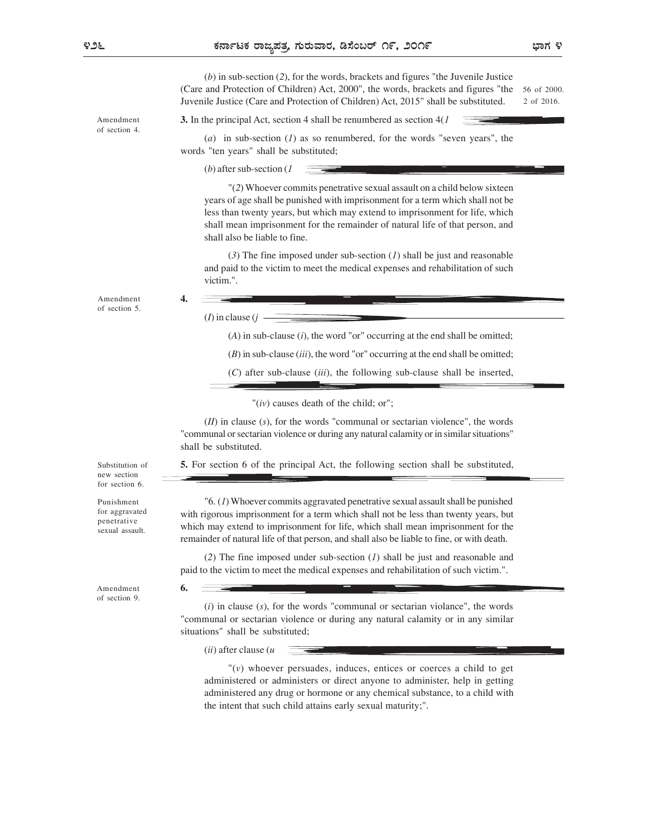ಭಾಗ ೪

(b) in sub-section (2), for the words, brackets and figures "the Juvenile Justice (Care and Protection of Children) Act, 2000", the words, brackets and figures "the Juvenile Justice (Care and Protection of Children) Act, 2015" shall be substituted. 56 of 2000. 2 of 2016.

Amendment 3. In the principal Act, section 4 shall be renumbered as section  $4(I \quad \overline{\phantom{a}})$ 

(a) in sub-section  $(1)$  as so renumbered, for the words "seven years", the words "ten years" shall be substituted;

(*b*) after sub-section  $(I)$ 

"(2) Whoever commits penetrative sexual assault on a child below sixteen years of age shall be punished with imprisonment for a term which shall not be less than twenty years, but which may extend to imprisonment for life, which shall mean imprisonment for the remainder of natural life of that person, and shall also be liable to fine.

(3) The fine imposed under sub-section  $(1)$  shall be just and reasonable and paid to the victim to meet the medical expenses and rehabilitation of such victim.".

Amendment 4. of section 5.

of section 4.

 $(I)$  in clause  $(i -$ 

4.

 $(A)$  in sub-clause  $(i)$ , the word "or" occurring at the end shall be omitted;

 $(B)$  in sub-clause (iii), the word "or" occurring at the end shall be omitted;

 $(C)$  after sub-clause (iii), the following sub-clause shall be inserted,

" $(iv)$  causes death of the child; or";

 $(II)$  in clause  $(s)$ , for the words "communal or sectarian violence", the words "communal or sectarian violence or during any natural calamity or in similar situations" shall be substituted.

Substitution of **5.** For section 6 of the principal Act, the following section shall be substituted,

new section for section 6.

Punishment penetrative sexual assault.

 $\mathcal{L}(I)$  Whoever commits aggravated penetrative sexual assault shall be punished for aggravated with rigorous imprisonment for a term which shall not be less than twenty years, but which may extend to imprisonment for life, which shall mean imprisonment for the remainder of natural life of that person, and shall also be liable to fine, or with death.

> (2) The fine imposed under sub-section  $(I)$  shall be just and reasonable and paid to the victim to meet the medical expenses and rehabilitation of such victim.".

Amendment **6.** of section 9.

 $(i)$  in clause  $(s)$ , for the words "communal or sectarian violance", the words "communal or sectarian violence or during any natural calamity or in any similar situations" shall be substituted;

 $(ii)$  after clause  $(u)$ 

6.

"(v) whoever persuades, induces, entices or coerces a child to get administered or administers or direct anyone to administer, help in getting administered any drug or hormone or any chemical substance, to a child with the intent that such child attains early sexual maturity;".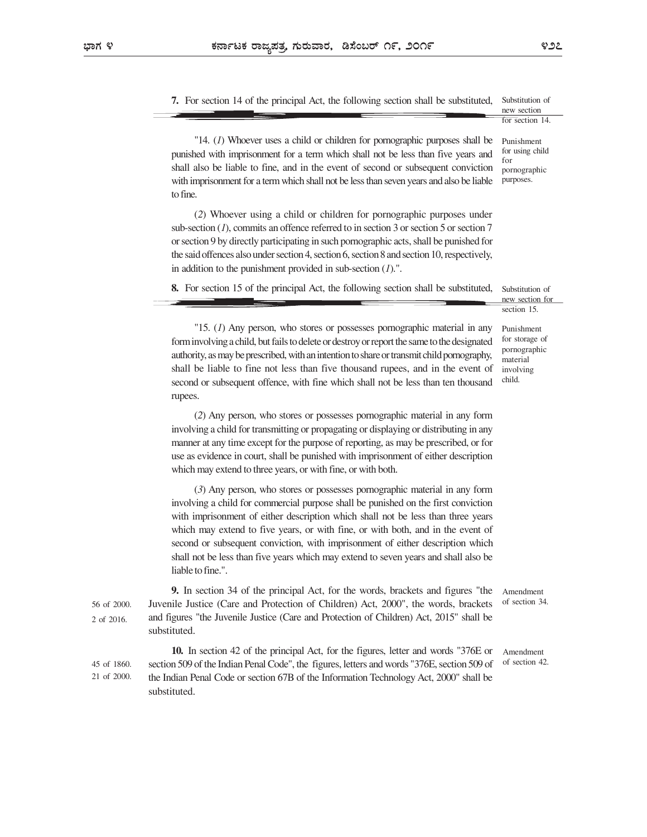to fine.

7. For section 14 of the principal Act, the following section shall be substituted, Substitution of new section

for section 14.

"14. (1) Whoever uses a child or children for pornographic purposes shall be punished with imprisonment for a term which shall not be less than five years and  $\frac{10^{\circ}}{10^{\circ}}$ shall also be liable to fine, and in the event of second or subsequent conviction with imprisonment for a term which shall not be less than seven years and also be liable Punishment for using child for pornographic purposes.

(2) Whoever using a child or children for pornographic purposes under sub-section (1), commits an offence referred to in section 3 or section 5 or section 7 or section 9 by directly participating in such pornographic acts, shall be punished for the said offences also under section 4, section 6, section 8 and section 10, respectively, in addition to the punishment provided in sub-section  $(1)$ .".

8. For section 15 of the principal Act, the following section shall be substituted,

Substitution of new section for section 15.

Punishment for storage of pornographic material involving child.

"15. (1) Any person, who stores or possesses pornographic material in any form involving a child, but fails to delete or destroy or report the same to the designated authority, as may be prescribed, with an intention to share or transmit child pornography, shall be liable to fine not less than five thousand rupees, and in the event of second or subsequent offence, with fine which shall not be less than ten thousand rupees.

(2) Any person, who stores or possesses pornographic material in any form involving a child for transmitting or propagating or displaying or distributing in any manner at any time except for the purpose of reporting, as may be prescribed, or for use as evidence in court, shall be punished with imprisonment of either description which may extend to three years, or with fine, or with both.

(3) Any person, who stores or possesses pornographic material in any form involving a child for commercial purpose shall be punished on the first conviction with imprisonment of either description which shall not be less than three years which may extend to five years, or with fine, or with both, and in the event of second or subsequent conviction, with imprisonment of either description which shall not be less than five years which may extend to seven years and shall also be liable to fine.".

9. In section 34 of the principal Act, for the words, brackets and figures "the 56 of 2000. Juvenile Justice (Care and Protection of Children) Act, 2000", the words, brackets of section 34. and figures "the Juvenile Justice (Care and Protection of Children) Act, 2015" shall be 2 of 2016. substituted. Amendment

10. In section 42 of the principal Act, for the figures, letter and words "376E or 45 of 1860. section 509 of the Indian Penal Code", the figures, letters and words "376E, section 509 of of section 42. the Indian Penal Code or section 67B of the Information Technology Act, 2000" shall be 21 of 2000. substituted.

of section 34.

Amendment